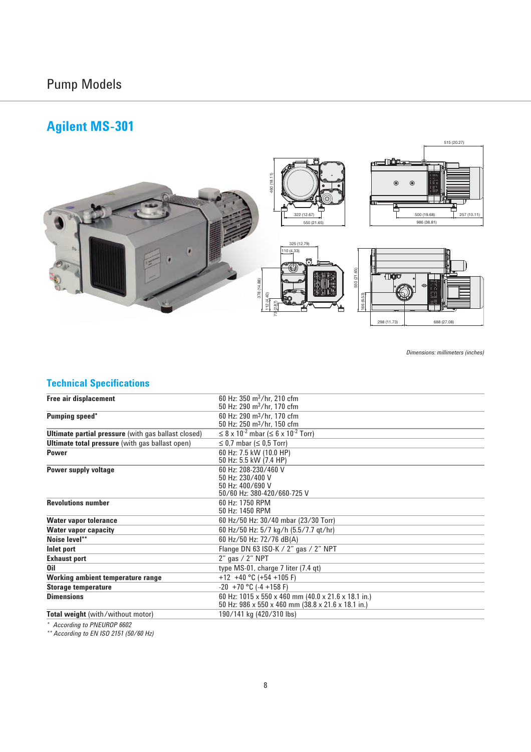## Pump Models

## **Agilent MS-301**



*Dimensions: millimeters (inches)*

### **Technical Specifications**

| 60 Hz: $350 \text{ m}^3/\text{hr}$ , 210 cfm                         |
|----------------------------------------------------------------------|
| 50 Hz: 290 $\rm m^3$ /hr. 170 cfm                                    |
| 60 Hz: 290 m <sup>3</sup> /hr, 170 cfm                               |
| 50 Hz: 250 m <sup>3</sup> /hr, 150 cfm                               |
| $\leq$ 8 x 10 <sup>-2</sup> mbar ( $\leq$ 6 x 10 <sup>-2</sup> Torr) |
| $\leq$ 0.7 mbar ( $\leq$ 0.5 Torr)                                   |
| 60 Hz: 7.5 kW (10.0 HP)                                              |
| 50 Hz: 5.5 kW (7.4 HP)                                               |
| 60 Hz: 208-230/460 V                                                 |
| 50 Hz: 230/400 V                                                     |
| 50 Hz: 400/690 V                                                     |
| 50/60 Hz: 380-420/660-725 V                                          |
| 60 Hz: 1750 RPM                                                      |
| 50 Hz: 1450 RPM                                                      |
| 60 Hz/50 Hz: 30/40 mbar (23/30 Torr)                                 |
| 60 Hz/50 Hz: 5/7 kg/h (5.5/7.7 qt/hr)                                |
| 60 Hz/50 Hz: 72/76 dB(A)                                             |
| Flange DN 63 ISO-K $/$ 2" gas $/$ 2" NPT                             |
| 2" gas / 2" NPT                                                      |
| type $MS-01$ , charge 7 liter $(7.4 \text{ qt})$                     |
| $+12$ +40 °C (+54 +105 F)                                            |
| $-20 + 70$ °C ( $-4 + 158$ F)                                        |
| 60 Hz: 1015 x 550 x 460 mm (40.0 x 21.6 x 18.1 in.)                  |
| 50 Hz: 986 x 550 x 460 mm (38.8 x 21.6 x 18.1 in.)                   |
| 190/141 kg (420/310 lbs)                                             |
|                                                                      |

*\* According to PNEUROP 6602*

*\*\* According to EN ISO 2151 (50/60 Hz)*